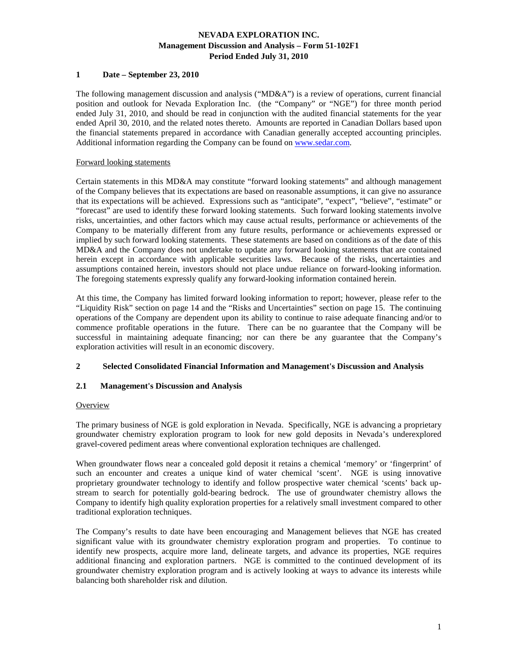### **1 Date – September 23, 2010**

The following management discussion and analysis (" $MD&A$ ") is a review of operations, current financial position and outlook for Nevada Exploration Inc. (the "Company" or "NGE") for three month period ended July 31, 2010, and should be read in conjunction with the audited financial statements for the year ended April 30, 2010, and the related notes thereto. Amounts are reported in Canadian Dollars based upon the financial statements prepared in accordance with Canadian generally accepted accounting principles. Additional information regarding the Company can be found on www.sedar.com.

#### Forward looking statements

Certain statements in this MD&A may constitute "forward looking statements" and although management of the Company believes that its expectations are based on reasonable assumptions, it can give no assurance that its expectations will be achieved. Expressions such as "anticipate", "expect", "believe", "estimate" or "forecast" are used to identify these forward looking statements. Such forward looking statements involve risks, uncertainties, and other factors which may cause actual results, performance or achievements of the Company to be materially different from any future results, performance or achievements expressed or implied by such forward looking statements. These statements are based on conditions as of the date of this MD&A and the Company does not undertake to update any forward looking statements that are contained herein except in accordance with applicable securities laws. Because of the risks, uncertainties and assumptions contained herein, investors should not place undue reliance on forward-looking information. The foregoing statements expressly qualify any forward-looking information contained herein.

At this time, the Company has limited forward looking information to report; however, please refer to the "Liquidity Risk" section on page 14 and the "Risks and Uncertainties" section on page 15. The continuing operations of the Company are dependent upon its ability to continue to raise adequate financing and/or to commence profitable operations in the future. There can be no guarantee that the Company will be successful in maintaining adequate financing; nor can there be any guarantee that the Company's exploration activities will result in an economic discovery.

#### **2 Selected Consolidated Financial Information and Management's Discussion and Analysis**

### **2.1 Management's Discussion and Analysis**

#### **Overview**

The primary business of NGE is gold exploration in Nevada. Specifically, NGE is advancing a proprietary groundwater chemistry exploration program to look for new gold deposits in Nevada's underexplored gravel-covered pediment areas where conventional exploration techniques are challenged.

When groundwater flows near a concealed gold deposit it retains a chemical 'memory' or 'fingerprint' of such an encounter and creates a unique kind of water chemical 'scent'. NGE is using innovative proprietary groundwater technology to identify and follow prospective water chemical 'scents' back upstream to search for potentially gold-bearing bedrock. The use of groundwater chemistry allows the Company to identify high quality exploration properties for a relatively small investment compared to other traditional exploration techniques.

The Company's results to date have been encouraging and Management believes that NGE has created significant value with its groundwater chemistry exploration program and properties. To continue to identify new prospects, acquire more land, delineate targets, and advance its properties, NGE requires additional financing and exploration partners. NGE is committed to the continued development of its groundwater chemistry exploration program and is actively looking at ways to advance its interests while balancing both shareholder risk and dilution.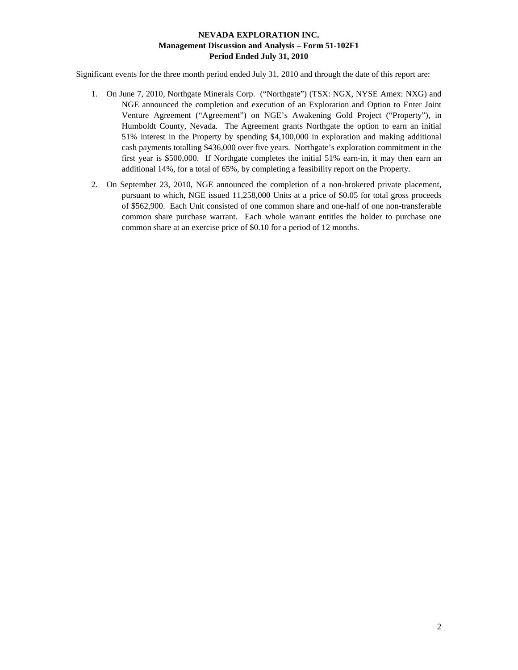Significant events for the three month period ended July 31, 2010 and through the date of this report are:

- 1. On June 7, 2010, Northgate Minerals Corp. ("Northgate") (TSX: NGX, NYSE Amex: NXG) and NGE announced the completion and execution of an Exploration and Option to Enter Joint Venture Agreement ("Agreement") on NGE's Awakening Gold Project ("Property"), in Humboldt County, Nevada. The Agreement grants Northgate the option to earn an initial 51% interest in the Property by spending \$4,100,000 in exploration and making additional cash payments totalling \$436,000 over five years. Northgate's exploration commitment in the first year is \$500,000. If Northgate completes the initial 51% earn-in, it may then earn an additional 14%, for a total of 65%, by completing a feasibility report on the Property.
- 2. On September 23, 2010, NGE announced the completion of a non-brokered private placement, pursuant to which, NGE issued 11,258,000 Units at a price of \$0.05 for total gross proceeds of \$562,900. Each Unit consisted of one common share and one-half of one non-transferable common share purchase warrant. Each whole warrant entitles the holder to purchase one common share at an exercise price of \$0.10 for a period of 12 months.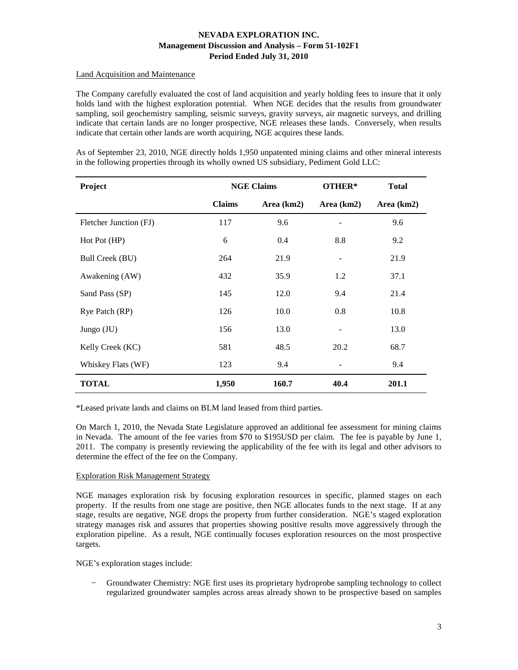### Land Acquisition and Maintenance

The Company carefully evaluated the cost of land acquisition and yearly holding fees to insure that it only holds land with the highest exploration potential. When NGE decides that the results from groundwater sampling, soil geochemistry sampling, seismic surveys, gravity surveys, air magnetic surveys, and drilling indicate that certain lands are no longer prospective, NGE releases these lands. Conversely, when results indicate that certain other lands are worth acquiring, NGE acquires these lands.

As of September 23, 2010, NGE directly holds 1,950 unpatented mining claims and other mineral interests in the following properties through its wholly owned US subsidiary, Pediment Gold LLC:

| <b>Project</b>         | <b>NGE Claims</b> |            | OTHER*                   | <b>Total</b> |
|------------------------|-------------------|------------|--------------------------|--------------|
|                        | <b>Claims</b>     | Area (km2) | Area (km2)               | Area (km2)   |
| Fletcher Junction (FJ) | 117               | 9.6        |                          | 9.6          |
| Hot Pot (HP)           | 6                 | 0.4        | 8.8                      | 9.2          |
| <b>Bull Creek (BU)</b> | 264               | 21.9       | $\overline{\phantom{m}}$ | 21.9         |
| Awakening (AW)         | 432               | 35.9       | 1.2                      | 37.1         |
| Sand Pass (SP)         | 145               | 12.0       | 9.4                      | 21.4         |
| Rye Patch (RP)         | 126               | 10.0       | 0.8                      | 10.8         |
| Jungo $(JU)$           | 156               | 13.0       |                          | 13.0         |
| Kelly Creek (KC)       | 581               | 48.5       | 20.2                     | 68.7         |
| Whiskey Flats (WF)     | 123               | 9.4        |                          | 9.4          |
| <b>TOTAL</b>           | 1,950             | 160.7      | 40.4                     | 201.1        |

\*Leased private lands and claims on BLM land leased from third parties.

On March 1, 2010, the Nevada State Legislature approved an additional fee assessment for mining claims in Nevada. The amount of the fee varies from \$70 to \$195USD per claim. The fee is payable by June 1, 2011. The company is presently reviewing the applicability of the fee with its legal and other advisors to determine the effect of the fee on the Company.

### Exploration Risk Management Strategy

NGE manages exploration risk by focusing exploration resources in specific, planned stages on each property. If the results from one stage are positive, then NGE allocates funds to the next stage. If at any stage, results are negative, NGE drops the property from further consideration. NGE's staged exploration strategy manages risk and assures that properties showing positive results move aggressively through the exploration pipeline. As a result, NGE continually focuses exploration resources on the most prospective targets.

NGE's exploration stages include:

− Groundwater Chemistry: NGE first uses its proprietary hydroprobe sampling technology to collect regularized groundwater samples across areas already shown to be prospective based on samples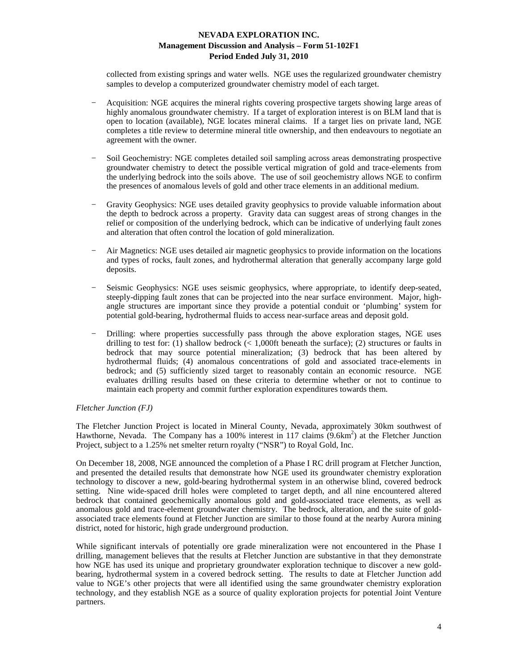collected from existing springs and water wells. NGE uses the regularized groundwater chemistry samples to develop a computerized groundwater chemistry model of each target.

- − Acquisition: NGE acquires the mineral rights covering prospective targets showing large areas of highly anomalous groundwater chemistry. If a target of exploration interest is on BLM land that is open to location (available), NGE locates mineral claims. If a target lies on private land, NGE completes a title review to determine mineral title ownership, and then endeavours to negotiate an agreement with the owner.
- − Soil Geochemistry: NGE completes detailed soil sampling across areas demonstrating prospective groundwater chemistry to detect the possible vertical migration of gold and trace-elements from the underlying bedrock into the soils above. The use of soil geochemistry allows NGE to confirm the presences of anomalous levels of gold and other trace elements in an additional medium.
- Gravity Geophysics: NGE uses detailed gravity geophysics to provide valuable information about the depth to bedrock across a property. Gravity data can suggest areas of strong changes in the relief or composition of the underlying bedrock, which can be indicative of underlying fault zones and alteration that often control the location of gold mineralization.
- Air Magnetics: NGE uses detailed air magnetic geophysics to provide information on the locations and types of rocks, fault zones, and hydrothermal alteration that generally accompany large gold deposits.
- Seismic Geophysics: NGE uses seismic geophysics, where appropriate, to identify deep-seated, steeply-dipping fault zones that can be projected into the near surface environment. Major, highangle structures are important since they provide a potential conduit or 'plumbing' system for potential gold-bearing, hydrothermal fluids to access near-surface areas and deposit gold.
- Drilling: where properties successfully pass through the above exploration stages, NGE uses drilling to test for: (1) shallow bedrock  $\left($  < 1,000ft beneath the surface); (2) structures or faults in bedrock that may source potential mineralization; (3) bedrock that has been altered by hydrothermal fluids; (4) anomalous concentrations of gold and associated trace-elements in bedrock; and (5) sufficiently sized target to reasonably contain an economic resource. NGE evaluates drilling results based on these criteria to determine whether or not to continue to maintain each property and commit further exploration expenditures towards them.

### *Fletcher Junction (FJ)*

The Fletcher Junction Project is located in Mineral County, Nevada, approximately 30km southwest of Hawthorne, Nevada. The Company has a 100% interest in 117 claims (9.6km<sup>2</sup>) at the Fletcher Junction Project, subject to a 1.25% net smelter return royalty ("NSR") to Royal Gold, Inc.

On December 18, 2008, NGE announced the completion of a Phase I RC drill program at Fletcher Junction, and presented the detailed results that demonstrate how NGE used its groundwater chemistry exploration technology to discover a new, gold-bearing hydrothermal system in an otherwise blind, covered bedrock setting. Nine wide-spaced drill holes were completed to target depth, and all nine encountered altered bedrock that contained geochemically anomalous gold and gold-associated trace elements, as well as anomalous gold and trace-element groundwater chemistry. The bedrock, alteration, and the suite of goldassociated trace elements found at Fletcher Junction are similar to those found at the nearby Aurora mining district, noted for historic, high grade underground production.

While significant intervals of potentially ore grade mineralization were not encountered in the Phase I drilling, management believes that the results at Fletcher Junction are substantive in that they demonstrate how NGE has used its unique and proprietary groundwater exploration technique to discover a new goldbearing, hydrothermal system in a covered bedrock setting. The results to date at Fletcher Junction add value to NGE's other projects that were all identified using the same groundwater chemistry exploration technology, and they establish NGE as a source of quality exploration projects for potential Joint Venture partners.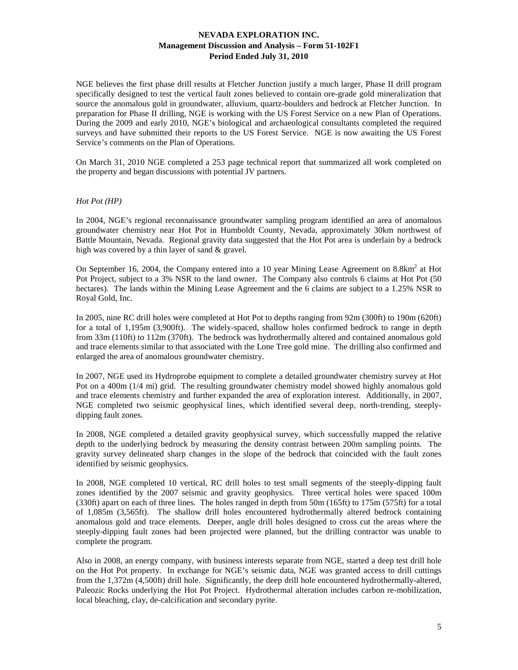NGE believes the first phase drill results at Fletcher Junction justify a much larger, Phase II drill program specifically designed to test the vertical fault zones believed to contain ore-grade gold mineralization that source the anomalous gold in groundwater, alluvium, quartz-boulders and bedrock at Fletcher Junction. In preparation for Phase II drilling, NGE is working with the US Forest Service on a new Plan of Operations. During the 2009 and early 2010, NGE's biological and archaeological consultants completed the required surveys and have submitted their reports to the US Forest Service. NGE is now awaiting the US Forest Service's comments on the Plan of Operations.

On March 31, 2010 NGE completed a 253 page technical report that summarized all work completed on the property and began discussions with potential JV partners.

#### *Hot Pot (HP)*

In 2004, NGE's regional reconnaissance groundwater sampling program identified an area of anomalous groundwater chemistry near Hot Pot in Humboldt County, Nevada, approximately 30km northwest of Battle Mountain, Nevada. Regional gravity data suggested that the Hot Pot area is underlain by a bedrock high was covered by a thin layer of sand & gravel.

On September 16, 2004, the Company entered into a 10 year Mining Lease Agreement on  $8.8 \text{km}^2$  at Hot Pot Project, subject to a 3% NSR to the land owner. The Company also controls 6 claims at Hot Pot (50 hectares). The lands within the Mining Lease Agreement and the 6 claims are subject to a 1.25% NSR to Royal Gold, Inc.

In 2005, nine RC drill holes were completed at Hot Pot to depths ranging from 92m (300ft) to 190m (620ft) for a total of 1,195m (3,900ft). The widely-spaced, shallow holes confirmed bedrock to range in depth from 33m (110ft) to 112m (370ft). The bedrock was hydrothermally altered and contained anomalous gold and trace elements similar to that associated with the Lone Tree gold mine. The drilling also confirmed and enlarged the area of anomalous groundwater chemistry.

In 2007, NGE used its Hydroprobe equipment to complete a detailed groundwater chemistry survey at Hot Pot on a 400m (1/4 mi) grid. The resulting groundwater chemistry model showed highly anomalous gold and trace elements chemistry and further expanded the area of exploration interest. Additionally, in 2007, NGE completed two seismic geophysical lines, which identified several deep, north-trending, steeplydipping fault zones.

In 2008, NGE completed a detailed gravity geophysical survey, which successfully mapped the relative depth to the underlying bedrock by measuring the density contrast between 200m sampling points. The gravity survey delineated sharp changes in the slope of the bedrock that coincided with the fault zones identified by seismic geophysics.

In 2008, NGE completed 10 vertical, RC drill holes to test small segments of the steeply-dipping fault zones identified by the 2007 seismic and gravity geophysics. Three vertical holes were spaced 100m (330ft) apart on each of three lines. The holes ranged in depth from 50m (165ft) to 175m (575ft) for a total of 1,085m (3,565ft). The shallow drill holes encountered hydrothermally altered bedrock containing anomalous gold and trace elements. Deeper, angle drill holes designed to cross cut the areas where the steeply-dipping fault zones had been projected were planned, but the drilling contractor was unable to complete the program.

Also in 2008, an energy company, with business interests separate from NGE, started a deep test drill hole on the Hot Pot property. In exchange for NGE's seismic data, NGE was granted access to drill cuttings from the 1,372m (4,500ft) drill hole. Significantly, the deep drill hole encountered hydrothermally-altered, Paleozic Rocks underlying the Hot Pot Project. Hydrothermal alteration includes carbon re-mobilization, local bleaching, clay, de-calcification and secondary pyrite.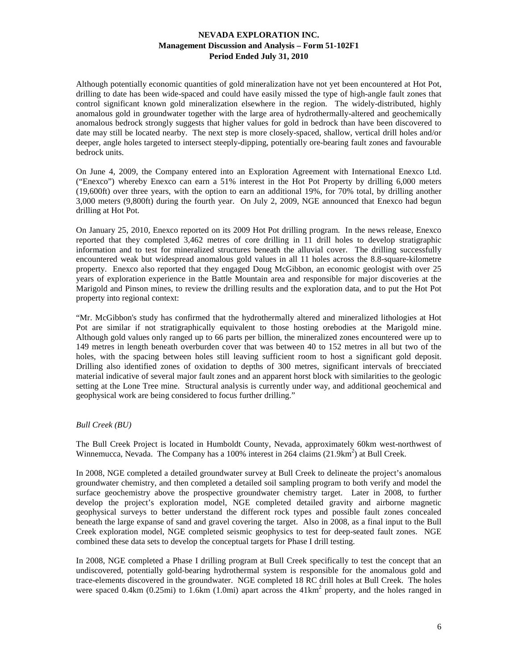Although potentially economic quantities of gold mineralization have not yet been encountered at Hot Pot, drilling to date has been wide-spaced and could have easily missed the type of high-angle fault zones that control significant known gold mineralization elsewhere in the region. The widely-distributed, highly anomalous gold in groundwater together with the large area of hydrothermally-altered and geochemically anomalous bedrock strongly suggests that higher values for gold in bedrock than have been discovered to date may still be located nearby. The next step is more closely-spaced, shallow, vertical drill holes and/or deeper, angle holes targeted to intersect steeply-dipping, potentially ore-bearing fault zones and favourable bedrock units.

On June 4, 2009, the Company entered into an Exploration Agreement with International Enexco Ltd. ("Enexco") whereby Enexco can earn a 51% interest in the Hot Pot Property by drilling 6,000 meters (19,600ft) over three years, with the option to earn an additional 19%, for 70% total, by drilling another 3,000 meters (9,800ft) during the fourth year. On July 2, 2009, NGE announced that Enexco had begun drilling at Hot Pot.

On January 25, 2010, Enexco reported on its 2009 Hot Pot drilling program. In the news release, Enexco reported that they completed 3,462 metres of core drilling in 11 drill holes to develop stratigraphic information and to test for mineralized structures beneath the alluvial cover. The drilling successfully encountered weak but widespread anomalous gold values in all 11 holes across the 8.8-square-kilometre property. Enexco also reported that they engaged Doug McGibbon, an economic geologist with over 25 years of exploration experience in the Battle Mountain area and responsible for major discoveries at the Marigold and Pinson mines, to review the drilling results and the exploration data, and to put the Hot Pot property into regional context:

"Mr. McGibbon's study has confirmed that the hydrothermally altered and mineralized lithologies at Hot Pot are similar if not stratigraphically equivalent to those hosting orebodies at the Marigold mine. Although gold values only ranged up to 66 parts per billion, the mineralized zones encountered were up to 149 metres in length beneath overburden cover that was between 40 to 152 metres in all but two of the holes, with the spacing between holes still leaving sufficient room to host a significant gold deposit. Drilling also identified zones of oxidation to depths of 300 metres, significant intervals of brecciated material indicative of several major fault zones and an apparent horst block with similarities to the geologic setting at the Lone Tree mine. Structural analysis is currently under way, and additional geochemical and geophysical work are being considered to focus further drilling."

### *Bull Creek (BU)*

The Bull Creek Project is located in Humboldt County, Nevada, approximately 60km west-northwest of Winnemucca, Nevada. The Company has a 100% interest in 264 claims (21.9km<sup>2</sup>) at Bull Creek.

In 2008, NGE completed a detailed groundwater survey at Bull Creek to delineate the project's anomalous groundwater chemistry, and then completed a detailed soil sampling program to both verify and model the surface geochemistry above the prospective groundwater chemistry target. Later in 2008, to further develop the project's exploration model, NGE completed detailed gravity and airborne magnetic geophysical surveys to better understand the different rock types and possible fault zones concealed beneath the large expanse of sand and gravel covering the target. Also in 2008, as a final input to the Bull Creek exploration model, NGE completed seismic geophysics to test for deep-seated fault zones. NGE combined these data sets to develop the conceptual targets for Phase I drill testing.

In 2008, NGE completed a Phase I drilling program at Bull Creek specifically to test the concept that an undiscovered, potentially gold-bearing hydrothermal system is responsible for the anomalous gold and trace-elements discovered in the groundwater. NGE completed 18 RC drill holes at Bull Creek. The holes were spaced  $0.4 \text{km}$  ( $0.25 \text{mi}$ ) to  $1.6 \text{km}$  ( $1.0 \text{mi}$ ) apart across the  $41 \text{km}^2$  property, and the holes ranged in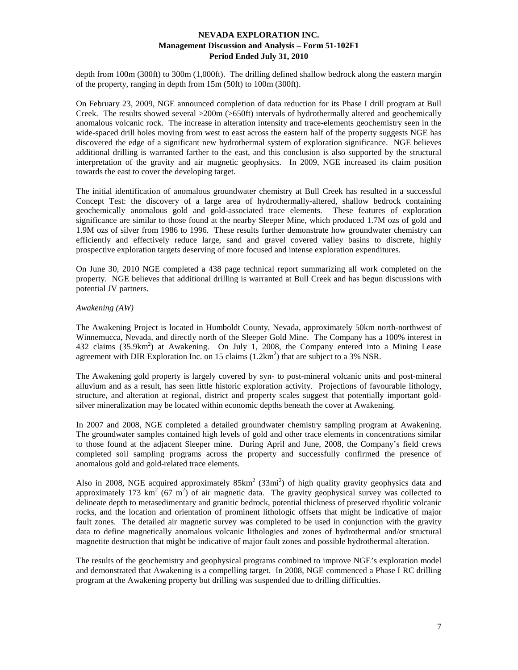depth from 100m (300ft) to 300m (1,000ft). The drilling defined shallow bedrock along the eastern margin of the property, ranging in depth from 15m (50ft) to 100m (300ft).

On February 23, 2009, NGE announced completion of data reduction for its Phase I drill program at Bull Creek. The results showed several >200m (>650ft) intervals of hydrothermally altered and geochemically anomalous volcanic rock. The increase in alteration intensity and trace-elements geochemistry seen in the wide-spaced drill holes moving from west to east across the eastern half of the property suggests NGE has discovered the edge of a significant new hydrothermal system of exploration significance. NGE believes additional drilling is warranted farther to the east, and this conclusion is also supported by the structural interpretation of the gravity and air magnetic geophysics. In 2009, NGE increased its claim position towards the east to cover the developing target.

The initial identification of anomalous groundwater chemistry at Bull Creek has resulted in a successful Concept Test: the discovery of a large area of hydrothermally-altered, shallow bedrock containing geochemically anomalous gold and gold-associated trace elements. These features of exploration significance are similar to those found at the nearby Sleeper Mine, which produced 1.7M ozs of gold and 1.9M ozs of silver from 1986 to 1996. These results further demonstrate how groundwater chemistry can efficiently and effectively reduce large, sand and gravel covered valley basins to discrete, highly prospective exploration targets deserving of more focused and intense exploration expenditures.

On June 30, 2010 NGE completed a 438 page technical report summarizing all work completed on the property. NGE believes that additional drilling is warranted at Bull Creek and has begun discussions with potential JV partners.

#### *Awakening (AW)*

The Awakening Project is located in Humboldt County, Nevada, approximately 50km north-northwest of Winnemucca, Nevada, and directly north of the Sleeper Gold Mine. The Company has a 100% interest in 432 claims (35.9km<sup>2</sup>) at Awakening. On July 1, 2008, the Company entered into a Mining Lease agreement with DIR Exploration Inc. on 15 claims  $(1.2 \text{km}^2)$  that are subject to a 3% NSR.

The Awakening gold property is largely covered by syn- to post-mineral volcanic units and post-mineral alluvium and as a result, has seen little historic exploration activity. Projections of favourable lithology, structure, and alteration at regional, district and property scales suggest that potentially important goldsilver mineralization may be located within economic depths beneath the cover at Awakening.

In 2007 and 2008, NGE completed a detailed groundwater chemistry sampling program at Awakening. The groundwater samples contained high levels of gold and other trace elements in concentrations similar to those found at the adjacent Sleeper mine. During April and June, 2008, the Company's field crews completed soil sampling programs across the property and successfully confirmed the presence of anomalous gold and gold-related trace elements.

Also in 2008, NGE acquired approximately  $85 \text{km}^2$  (33mi<sup>2</sup>) of high quality gravity geophysics data and approximately 173  $\text{km}^2$  (67 m<sup>2</sup>) of air magnetic data. The gravity geophysical survey was collected to delineate depth to metasedimentary and granitic bedrock, potential thickness of preserved rhyolitic volcanic rocks, and the location and orientation of prominent lithologic offsets that might be indicative of major fault zones. The detailed air magnetic survey was completed to be used in conjunction with the gravity data to define magnetically anomalous volcanic lithologies and zones of hydrothermal and/or structural magnetite destruction that might be indicative of major fault zones and possible hydrothermal alteration.

The results of the geochemistry and geophysical programs combined to improve NGE's exploration model and demonstrated that Awakening is a compelling target. In 2008, NGE commenced a Phase I RC drilling program at the Awakening property but drilling was suspended due to drilling difficulties.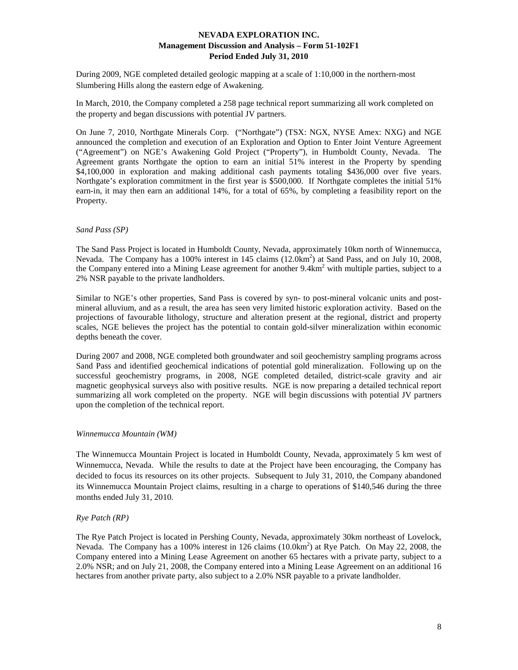During 2009, NGE completed detailed geologic mapping at a scale of 1:10,000 in the northern-most Slumbering Hills along the eastern edge of Awakening.

In March, 2010, the Company completed a 258 page technical report summarizing all work completed on the property and began discussions with potential JV partners.

On June 7, 2010, Northgate Minerals Corp. ("Northgate") (TSX: NGX, NYSE Amex: NXG) and NGE announced the completion and execution of an Exploration and Option to Enter Joint Venture Agreement ("Agreement") on NGE's Awakening Gold Project ("Property"), in Humboldt County, Nevada. The Agreement grants Northgate the option to earn an initial 51% interest in the Property by spending \$4,100,000 in exploration and making additional cash payments totaling \$436,000 over five years. Northgate's exploration commitment in the first year is \$500,000. If Northgate completes the initial 51% earn-in, it may then earn an additional 14%, for a total of 65%, by completing a feasibility report on the Property.

### *Sand Pass (SP)*

The Sand Pass Project is located in Humboldt County, Nevada, approximately 10km north of Winnemucca, Nevada. The Company has a 100% interest in 145 claims (12.0km<sup>2</sup>) at Sand Pass, and on July 10, 2008, the Company entered into a Mining Lease agreement for another  $9.4 \text{km}^2$  with multiple parties, subject to a 2% NSR payable to the private landholders.

Similar to NGE's other properties, Sand Pass is covered by syn- to post-mineral volcanic units and postmineral alluvium, and as a result, the area has seen very limited historic exploration activity. Based on the projections of favourable lithology, structure and alteration present at the regional, district and property scales, NGE believes the project has the potential to contain gold-silver mineralization within economic depths beneath the cover.

During 2007 and 2008, NGE completed both groundwater and soil geochemistry sampling programs across Sand Pass and identified geochemical indications of potential gold mineralization. Following up on the successful geochemistry programs, in 2008, NGE completed detailed, district-scale gravity and air magnetic geophysical surveys also with positive results. NGE is now preparing a detailed technical report summarizing all work completed on the property. NGE will begin discussions with potential JV partners upon the completion of the technical report.

### *Winnemucca Mountain (WM)*

The Winnemucca Mountain Project is located in Humboldt County, Nevada, approximately 5 km west of Winnemucca, Nevada. While the results to date at the Project have been encouraging, the Company has decided to focus its resources on its other projects. Subsequent to July 31, 2010, the Company abandoned its Winnemucca Mountain Project claims, resulting in a charge to operations of \$140,546 during the three months ended July 31, 2010.

### *Rye Patch (RP)*

The Rye Patch Project is located in Pershing County, Nevada, approximately 30km northeast of Lovelock, Nevada. The Company has a 100% interest in 126 claims (10.0km<sup>2</sup>) at Rye Patch. On May 22, 2008, the Company entered into a Mining Lease Agreement on another 65 hectares with a private party, subject to a 2.0% NSR; and on July 21, 2008, the Company entered into a Mining Lease Agreement on an additional 16 hectares from another private party, also subject to a 2.0% NSR payable to a private landholder.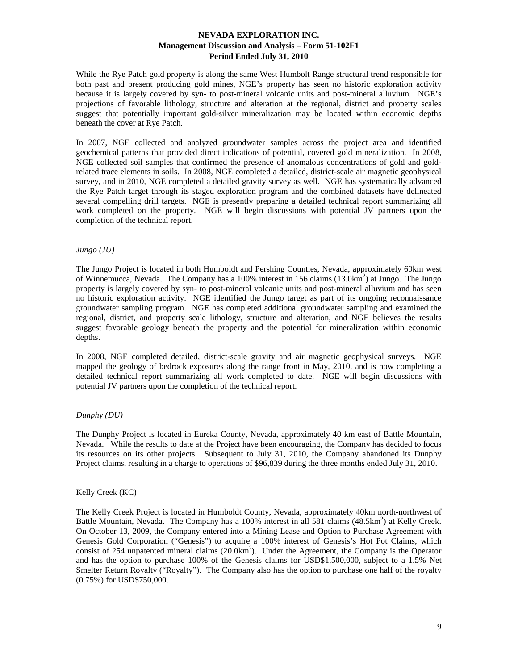While the Rye Patch gold property is along the same West Humbolt Range structural trend responsible for both past and present producing gold mines, NGE's property has seen no historic exploration activity because it is largely covered by syn- to post-mineral volcanic units and post-mineral alluvium. NGE's projections of favorable lithology, structure and alteration at the regional, district and property scales suggest that potentially important gold-silver mineralization may be located within economic depths beneath the cover at Rye Patch.

In 2007, NGE collected and analyzed groundwater samples across the project area and identified geochemical patterns that provided direct indications of potential, covered gold mineralization. In 2008, NGE collected soil samples that confirmed the presence of anomalous concentrations of gold and goldrelated trace elements in soils. In 2008, NGE completed a detailed, district-scale air magnetic geophysical survey, and in 2010, NGE completed a detailed gravity survey as well. NGE has systematically advanced the Rye Patch target through its staged exploration program and the combined datasets have delineated several compelling drill targets. NGE is presently preparing a detailed technical report summarizing all work completed on the property. NGE will begin discussions with potential JV partners upon the completion of the technical report.

### *Jungo (JU)*

The Jungo Project is located in both Humboldt and Pershing Counties, Nevada, approximately 60km west of Winnemucca, Nevada. The Company has a 100% interest in 156 claims (13.0km<sup>2</sup>) at Jungo. The Jungo property is largely covered by syn- to post-mineral volcanic units and post-mineral alluvium and has seen no historic exploration activity. NGE identified the Jungo target as part of its ongoing reconnaissance groundwater sampling program. NGE has completed additional groundwater sampling and examined the regional, district, and property scale lithology, structure and alteration, and NGE believes the results suggest favorable geology beneath the property and the potential for mineralization within economic depths.

In 2008, NGE completed detailed, district-scale gravity and air magnetic geophysical surveys. NGE mapped the geology of bedrock exposures along the range front in May, 2010, and is now completing a detailed technical report summarizing all work completed to date. NGE will begin discussions with potential JV partners upon the completion of the technical report.

#### *Dunphy (DU)*

The Dunphy Project is located in Eureka County, Nevada, approximately 40 km east of Battle Mountain, Nevada. While the results to date at the Project have been encouraging, the Company has decided to focus its resources on its other projects. Subsequent to July 31, 2010, the Company abandoned its Dunphy Project claims, resulting in a charge to operations of \$96,839 during the three months ended July 31, 2010.

#### Kelly Creek (KC)

The Kelly Creek Project is located in Humboldt County, Nevada, approximately 40km north-northwest of Battle Mountain, Nevada. The Company has a 100% interest in all 581 claims (48.5km<sup>2</sup>) at Kelly Creek. On October 13, 2009, the Company entered into a Mining Lease and Option to Purchase Agreement with Genesis Gold Corporation ("Genesis") to acquire a 100% interest of Genesis's Hot Pot Claims, which consist of 254 unpatented mineral claims  $(20.0 \text{km}^2)$ . Under the Agreement, the Company is the Operator and has the option to purchase 100% of the Genesis claims for USD\$1,500,000, subject to a 1.5% Net Smelter Return Royalty ("Royalty"). The Company also has the option to purchase one half of the royalty (0.75%) for USD\$750,000.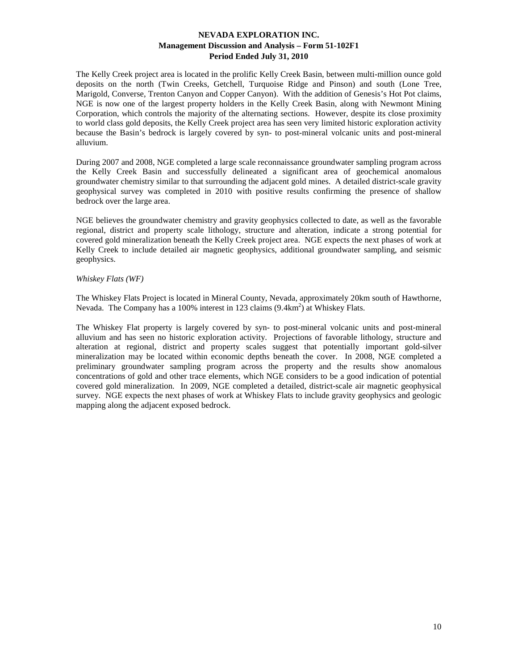The Kelly Creek project area is located in the prolific Kelly Creek Basin, between multi-million ounce gold deposits on the north (Twin Creeks, Getchell, Turquoise Ridge and Pinson) and south (Lone Tree, Marigold, Converse, Trenton Canyon and Copper Canyon). With the addition of Genesis's Hot Pot claims, NGE is now one of the largest property holders in the Kelly Creek Basin, along with Newmont Mining Corporation, which controls the majority of the alternating sections. However, despite its close proximity to world class gold deposits, the Kelly Creek project area has seen very limited historic exploration activity because the Basin's bedrock is largely covered by syn- to post-mineral volcanic units and post-mineral alluvium.

During 2007 and 2008, NGE completed a large scale reconnaissance groundwater sampling program across the Kelly Creek Basin and successfully delineated a significant area of geochemical anomalous groundwater chemistry similar to that surrounding the adjacent gold mines. A detailed district-scale gravity geophysical survey was completed in 2010 with positive results confirming the presence of shallow bedrock over the large area.

NGE believes the groundwater chemistry and gravity geophysics collected to date, as well as the favorable regional, district and property scale lithology, structure and alteration, indicate a strong potential for covered gold mineralization beneath the Kelly Creek project area. NGE expects the next phases of work at Kelly Creek to include detailed air magnetic geophysics, additional groundwater sampling, and seismic geophysics.

### *Whiskey Flats (WF)*

The Whiskey Flats Project is located in Mineral County, Nevada, approximately 20km south of Hawthorne, Nevada. The Company has a 100% interest in 123 claims (9.4km<sup>2</sup>) at Whiskey Flats.

The Whiskey Flat property is largely covered by syn- to post-mineral volcanic units and post-mineral alluvium and has seen no historic exploration activity. Projections of favorable lithology, structure and alteration at regional, district and property scales suggest that potentially important gold-silver mineralization may be located within economic depths beneath the cover. In 2008, NGE completed a preliminary groundwater sampling program across the property and the results show anomalous concentrations of gold and other trace elements, which NGE considers to be a good indication of potential covered gold mineralization. In 2009, NGE completed a detailed, district-scale air magnetic geophysical survey. NGE expects the next phases of work at Whiskey Flats to include gravity geophysics and geologic mapping along the adjacent exposed bedrock.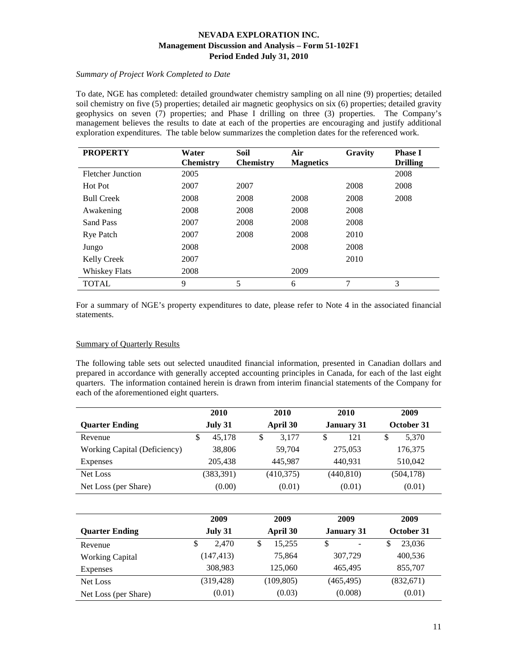# *Summary of Project Work Completed to Date*

To date, NGE has completed: detailed groundwater chemistry sampling on all nine (9) properties; detailed soil chemistry on five (5) properties; detailed air magnetic geophysics on six (6) properties; detailed gravity geophysics on seven (7) properties; and Phase I drilling on three (3) properties. The Company's management believes the results to date at each of the properties are encouraging and justify additional exploration expenditures. The table below summarizes the completion dates for the referenced work.

| <b>PROPERTY</b>          | Water            | <b>Soil</b>      | Air              | Gravity | <b>Phase I</b>  |
|--------------------------|------------------|------------------|------------------|---------|-----------------|
|                          | <b>Chemistry</b> | <b>Chemistry</b> | <b>Magnetics</b> |         | <b>Drilling</b> |
| <b>Fletcher Junction</b> | 2005             |                  |                  |         | 2008            |
| Hot Pot                  | 2007             | 2007             |                  | 2008    | 2008            |
| <b>Bull Creek</b>        | 2008             | 2008             | 2008             | 2008    | 2008            |
| Awakening                | 2008             | 2008             | 2008             | 2008    |                 |
| Sand Pass                | 2007             | 2008             | 2008             | 2008    |                 |
| <b>Rye Patch</b>         | 2007             | 2008             | 2008             | 2010    |                 |
| Jungo                    | 2008             |                  | 2008             | 2008    |                 |
| <b>Kelly Creek</b>       | 2007             |                  |                  | 2010    |                 |
| <b>Whiskey Flats</b>     | 2008             |                  | 2009             |         |                 |
| <b>TOTAL</b>             | 9                | 5                | 6                | 7       | 3               |

For a summary of NGE's property expenditures to date, please refer to Note 4 in the associated financial statements.

### Summary of Quarterly Results

The following table sets out selected unaudited financial information, presented in Canadian dollars and prepared in accordance with generally accepted accounting principles in Canada, for each of the last eight quarters. The information contained herein is drawn from interim financial statements of the Company for each of the aforementioned eight quarters.

|                              | 2010        | 2010       | 2010              | 2009       |
|------------------------------|-------------|------------|-------------------|------------|
| <b>Quarter Ending</b>        | July 31     | April 30   | <b>January 31</b> | October 31 |
| Revenue                      | 45.178<br>S | 3.177<br>S | 121<br>\$         | S<br>5,370 |
| Working Capital (Deficiency) | 38,806      | 59.704     | 275,053           | 176,375    |
| <b>Expenses</b>              | 205,438     | 445.987    | 440,931           | 510,042    |
| Net Loss                     | (383,391)   | (410, 375) | (440, 810)        | (504, 178) |
| Net Loss (per Share)         | (0.00)      | (0.01)     | (0.01)            | (0.01)     |

|                        | 2009        | 2009        | 2009              | 2009        |
|------------------------|-------------|-------------|-------------------|-------------|
| <b>Quarter Ending</b>  | July 31     | April 30    | <b>January 31</b> | October 31  |
| Revenue                | 2.470<br>\$ | 15.255<br>S | S                 | 23,036<br>S |
| <b>Working Capital</b> | (147, 413)  | 75,864      | 307,729           | 400,536     |
| Expenses               | 308.983     | 125,060     | 465.495           | 855,707     |
| Net Loss               | (319, 428)  | (109, 805)  | (465, 495)        | (832,671)   |
| Net Loss (per Share)   | (0.01)      | (0.03)      | (0.008)           | (0.01)      |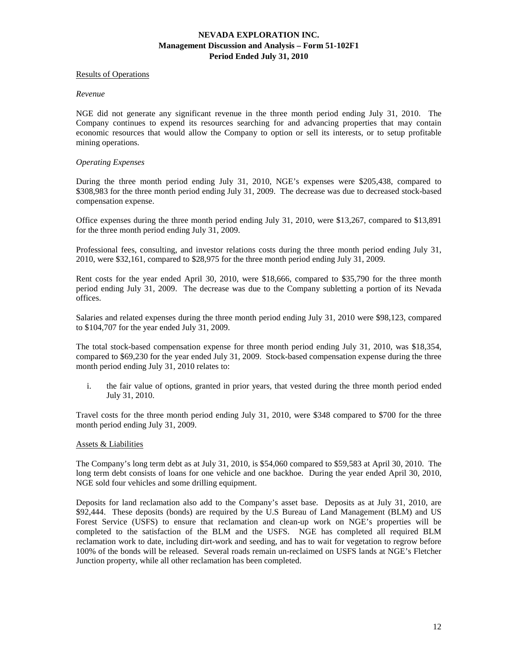#### Results of Operations

#### *Revenue*

NGE did not generate any significant revenue in the three month period ending July 31, 2010. The Company continues to expend its resources searching for and advancing properties that may contain economic resources that would allow the Company to option or sell its interests, or to setup profitable mining operations.

#### *Operating Expenses*

During the three month period ending July 31, 2010, NGE's expenses were \$205,438, compared to \$308,983 for the three month period ending July 31, 2009. The decrease was due to decreased stock-based compensation expense.

Office expenses during the three month period ending July 31, 2010, were \$13,267, compared to \$13,891 for the three month period ending July 31, 2009.

Professional fees, consulting, and investor relations costs during the three month period ending July 31, 2010, were \$32,161, compared to \$28,975 for the three month period ending July 31, 2009.

Rent costs for the year ended April 30, 2010, were \$18,666, compared to \$35,790 for the three month period ending July 31, 2009. The decrease was due to the Company subletting a portion of its Nevada offices.

Salaries and related expenses during the three month period ending July 31, 2010 were \$98,123, compared to \$104,707 for the year ended July 31, 2009.

The total stock-based compensation expense for three month period ending July 31, 2010, was \$18,354, compared to \$69,230 for the year ended July 31, 2009. Stock-based compensation expense during the three month period ending July 31, 2010 relates to:

i. the fair value of options, granted in prior years, that vested during the three month period ended July 31, 2010.

Travel costs for the three month period ending July 31, 2010, were \$348 compared to \$700 for the three month period ending July 31, 2009.

#### Assets & Liabilities

The Company's long term debt as at July 31, 2010, is \$54,060 compared to \$59,583 at April 30, 2010. The long term debt consists of loans for one vehicle and one backhoe. During the year ended April 30, 2010, NGE sold four vehicles and some drilling equipment.

Deposits for land reclamation also add to the Company's asset base. Deposits as at July 31, 2010, are \$92,444. These deposits (bonds) are required by the U.S Bureau of Land Management (BLM) and US Forest Service (USFS) to ensure that reclamation and clean-up work on NGE's properties will be completed to the satisfaction of the BLM and the USFS. NGE has completed all required BLM reclamation work to date, including dirt-work and seeding, and has to wait for vegetation to regrow before 100% of the bonds will be released. Several roads remain un-reclaimed on USFS lands at NGE's Fletcher Junction property, while all other reclamation has been completed.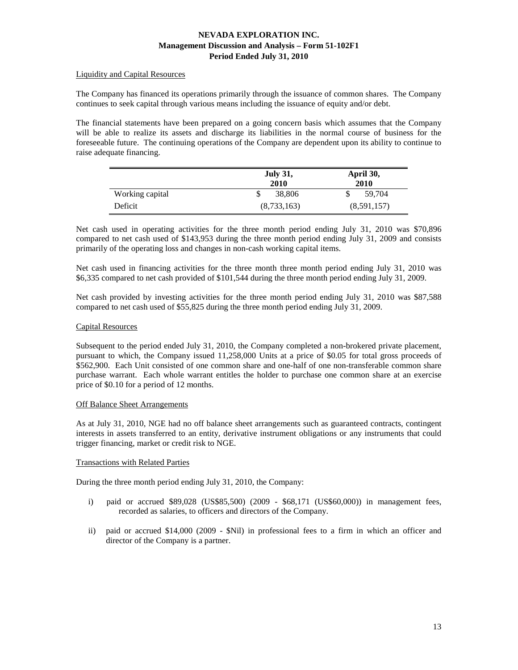### Liquidity and Capital Resources

The Company has financed its operations primarily through the issuance of common shares. The Company continues to seek capital through various means including the issuance of equity and/or debt.

The financial statements have been prepared on a going concern basis which assumes that the Company will be able to realize its assets and discharge its liabilities in the normal course of business for the foreseeable future. The continuing operations of the Company are dependent upon its ability to continue to raise adequate financing.

|                 | <b>July 31,</b><br>2010 | April 30,<br>2010 |  |
|-----------------|-------------------------|-------------------|--|
| Working capital | 38,806                  | 59.704            |  |
| Deficit         | (8,733,163)             | (8,591,157)       |  |

Net cash used in operating activities for the three month period ending July 31, 2010 was \$70,896 compared to net cash used of \$143,953 during the three month period ending July 31, 2009 and consists primarily of the operating loss and changes in non-cash working capital items.

Net cash used in financing activities for the three month three month period ending July 31, 2010 was \$6,335 compared to net cash provided of \$101,544 during the three month period ending July 31, 2009.

Net cash provided by investing activities for the three month period ending July 31, 2010 was \$87,588 compared to net cash used of \$55,825 during the three month period ending July 31, 2009.

### Capital Resources

Subsequent to the period ended July 31, 2010, the Company completed a non-brokered private placement, pursuant to which, the Company issued 11,258,000 Units at a price of \$0.05 for total gross proceeds of \$562,900. Each Unit consisted of one common share and one-half of one non-transferable common share purchase warrant. Each whole warrant entitles the holder to purchase one common share at an exercise price of \$0.10 for a period of 12 months.

#### Off Balance Sheet Arrangements

As at July 31, 2010, NGE had no off balance sheet arrangements such as guaranteed contracts, contingent interests in assets transferred to an entity, derivative instrument obligations or any instruments that could trigger financing, market or credit risk to NGE.

#### Transactions with Related Parties

During the three month period ending July 31, 2010, the Company:

- i) paid or accrued \$89,028 (US\$85,500) (2009 \$68,171 (US\$60,000)) in management fees, recorded as salaries, to officers and directors of the Company.
- ii) paid or accrued \$14,000 (2009 \$Nil) in professional fees to a firm in which an officer and director of the Company is a partner.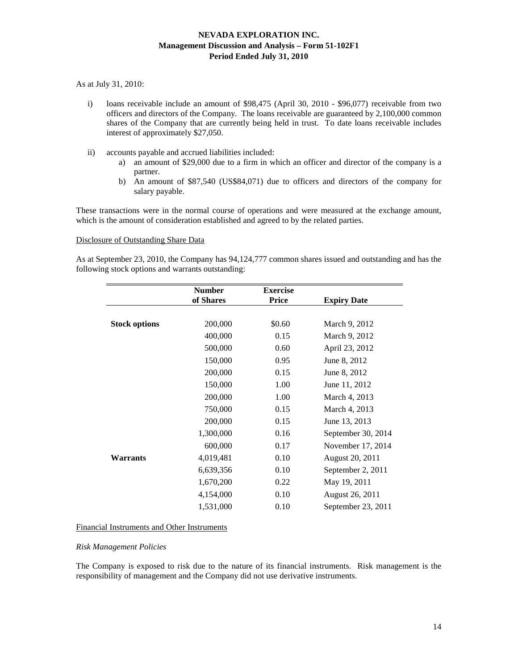As at July 31, 2010:

- i) loans receivable include an amount of \$98,475 (April 30, 2010 \$96,077) receivable from two officers and directors of the Company. The loans receivable are guaranteed by 2,100,000 common shares of the Company that are currently being held in trust. To date loans receivable includes interest of approximately \$27,050.
- ii) accounts payable and accrued liabilities included:
	- a) an amount of \$29,000 due to a firm in which an officer and director of the company is a partner.
	- b) An amount of \$87,540 (US\$84,071) due to officers and directors of the company for salary payable.

These transactions were in the normal course of operations and were measured at the exchange amount, which is the amount of consideration established and agreed to by the related parties.

#### Disclosure of Outstanding Share Data

As at September 23, 2010, the Company has 94,124,777 common shares issued and outstanding and has the following stock options and warrants outstanding:

|                      | <b>Number</b> | <b>Exercise</b> |                    |
|----------------------|---------------|-----------------|--------------------|
|                      | of Shares     | <b>Price</b>    | <b>Expiry Date</b> |
|                      |               |                 |                    |
| <b>Stock options</b> | 200,000       | \$0.60          | March 9, 2012      |
|                      | 400,000       | 0.15            | March 9, 2012      |
|                      | 500,000       | 0.60            | April 23, 2012     |
|                      | 150,000       | 0.95            | June 8, 2012       |
|                      | 200,000       | 0.15            | June 8, 2012       |
|                      | 150,000       | 1.00            | June 11, 2012      |
|                      | 200,000       | 1.00            | March 4, 2013      |
|                      | 750,000       | 0.15            | March 4, 2013      |
|                      | 200,000       | 0.15            | June 13, 2013      |
|                      | 1,300,000     | 0.16            | September 30, 2014 |
|                      | 600,000       | 0.17            | November 17, 2014  |
| Warrants             | 4,019,481     | 0.10            | August 20, 2011    |
|                      | 6,639,356     | 0.10            | September 2, 2011  |
|                      | 1,670,200     | 0.22            | May 19, 2011       |
|                      | 4,154,000     | 0.10            | August 26, 2011    |
|                      | 1,531,000     | 0.10            | September 23, 2011 |

Financial Instruments and Other Instruments

#### *Risk Management Policies*

The Company is exposed to risk due to the nature of its financial instruments. Risk management is the responsibility of management and the Company did not use derivative instruments.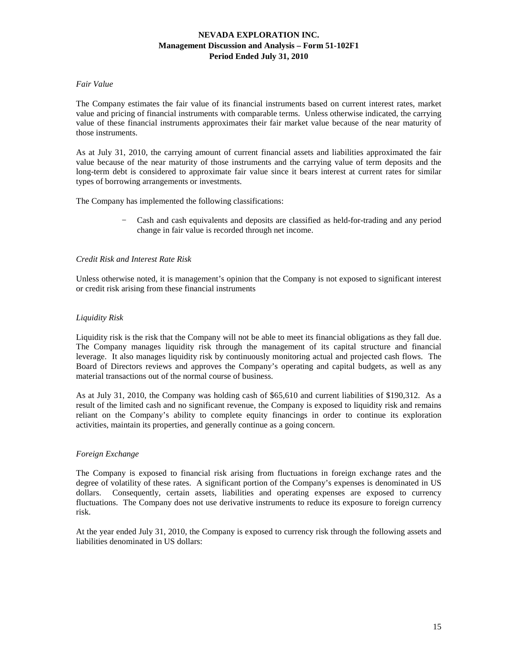### *Fair Value*

The Company estimates the fair value of its financial instruments based on current interest rates, market value and pricing of financial instruments with comparable terms. Unless otherwise indicated, the carrying value of these financial instruments approximates their fair market value because of the near maturity of those instruments.

As at July 31, 2010, the carrying amount of current financial assets and liabilities approximated the fair value because of the near maturity of those instruments and the carrying value of term deposits and the long-term debt is considered to approximate fair value since it bears interest at current rates for similar types of borrowing arrangements or investments.

The Company has implemented the following classifications:

− Cash and cash equivalents and deposits are classified as held-for-trading and any period change in fair value is recorded through net income.

### *Credit Risk and Interest Rate Risk*

Unless otherwise noted, it is management's opinion that the Company is not exposed to significant interest or credit risk arising from these financial instruments

### *Liquidity Risk*

Liquidity risk is the risk that the Company will not be able to meet its financial obligations as they fall due. The Company manages liquidity risk through the management of its capital structure and financial leverage. It also manages liquidity risk by continuously monitoring actual and projected cash flows. The Board of Directors reviews and approves the Company's operating and capital budgets, as well as any material transactions out of the normal course of business.

As at July 31, 2010, the Company was holding cash of \$65,610 and current liabilities of \$190,312. As a result of the limited cash and no significant revenue, the Company is exposed to liquidity risk and remains reliant on the Company's ability to complete equity financings in order to continue its exploration activities, maintain its properties, and generally continue as a going concern.

### *Foreign Exchange*

The Company is exposed to financial risk arising from fluctuations in foreign exchange rates and the degree of volatility of these rates. A significant portion of the Company's expenses is denominated in US dollars. Consequently, certain assets, liabilities and operating expenses are exposed to currency fluctuations. The Company does not use derivative instruments to reduce its exposure to foreign currency risk.

At the year ended July 31, 2010, the Company is exposed to currency risk through the following assets and liabilities denominated in US dollars: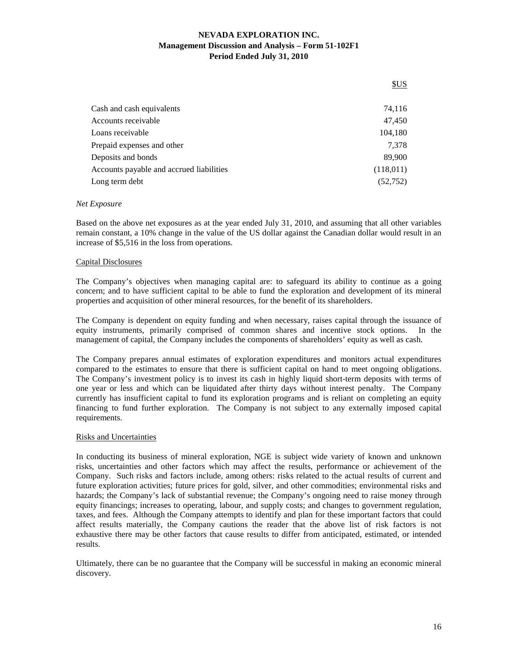| Cash and cash equivalents                | 74,116    |
|------------------------------------------|-----------|
| Accounts receivable                      | 47,450    |
| Loans receivable                         | 104,180   |
| Prepaid expenses and other               | 7.378     |
| Deposits and bonds                       | 89,900    |
| Accounts payable and accrued liabilities | (118,011) |
| Long term debt                           | (52, 752) |

### *Net Exposure*

Based on the above net exposures as at the year ended July 31, 2010, and assuming that all other variables remain constant, a 10% change in the value of the US dollar against the Canadian dollar would result in an increase of \$5,516 in the loss from operations.

#### Capital Disclosures

The Company's objectives when managing capital are: to safeguard its ability to continue as a going concern; and to have sufficient capital to be able to fund the exploration and development of its mineral properties and acquisition of other mineral resources, for the benefit of its shareholders.

The Company is dependent on equity funding and when necessary, raises capital through the issuance of equity instruments, primarily comprised of common shares and incentive stock options. In the management of capital, the Company includes the components of shareholders' equity as well as cash.

The Company prepares annual estimates of exploration expenditures and monitors actual expenditures compared to the estimates to ensure that there is sufficient capital on hand to meet ongoing obligations. The Company's investment policy is to invest its cash in highly liquid short-term deposits with terms of one year or less and which can be liquidated after thirty days without interest penalty. The Company currently has insufficient capital to fund its exploration programs and is reliant on completing an equity financing to fund further exploration. The Company is not subject to any externally imposed capital requirements.

#### Risks and Uncertainties

In conducting its business of mineral exploration, NGE is subject wide variety of known and unknown risks, uncertainties and other factors which may affect the results, performance or achievement of the Company. Such risks and factors include, among others: risks related to the actual results of current and future exploration activities; future prices for gold, silver, and other commodities; environmental risks and hazards; the Company's lack of substantial revenue; the Company's ongoing need to raise money through equity financings; increases to operating, labour, and supply costs; and changes to government regulation, taxes, and fees. Although the Company attempts to identify and plan for these important factors that could affect results materially, the Company cautions the reader that the above list of risk factors is not exhaustive there may be other factors that cause results to differ from anticipated, estimated, or intended results.

Ultimately, there can be no guarantee that the Company will be successful in making an economic mineral discovery.

#### \$US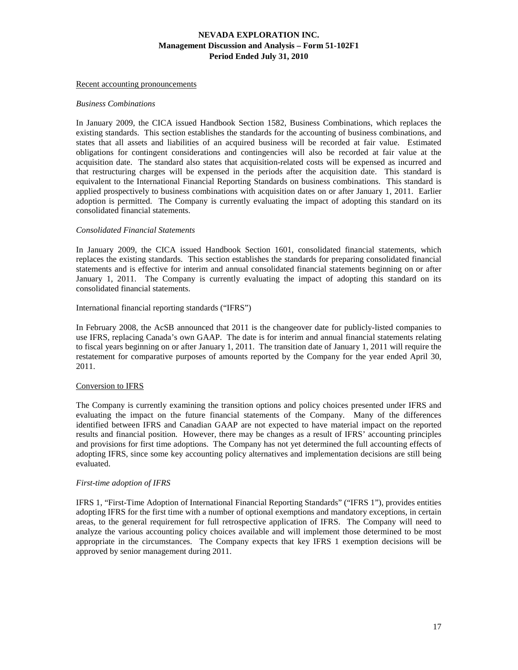#### Recent accounting pronouncements

#### *Business Combinations*

In January 2009, the CICA issued Handbook Section 1582, Business Combinations, which replaces the existing standards. This section establishes the standards for the accounting of business combinations, and states that all assets and liabilities of an acquired business will be recorded at fair value. Estimated obligations for contingent considerations and contingencies will also be recorded at fair value at the acquisition date. The standard also states that acquisition-related costs will be expensed as incurred and that restructuring charges will be expensed in the periods after the acquisition date. This standard is equivalent to the International Financial Reporting Standards on business combinations. This standard is applied prospectively to business combinations with acquisition dates on or after January 1, 2011. Earlier adoption is permitted. The Company is currently evaluating the impact of adopting this standard on its consolidated financial statements.

#### *Consolidated Financial Statements*

In January 2009, the CICA issued Handbook Section 1601, consolidated financial statements, which replaces the existing standards. This section establishes the standards for preparing consolidated financial statements and is effective for interim and annual consolidated financial statements beginning on or after January 1, 2011. The Company is currently evaluating the impact of adopting this standard on its consolidated financial statements.

International financial reporting standards ("IFRS")

In February 2008, the AcSB announced that 2011 is the changeover date for publicly-listed companies to use IFRS, replacing Canada's own GAAP. The date is for interim and annual financial statements relating to fiscal years beginning on or after January 1, 2011. The transition date of January 1, 2011 will require the restatement for comparative purposes of amounts reported by the Company for the year ended April 30, 2011.

#### Conversion to IFRS

The Company is currently examining the transition options and policy choices presented under IFRS and evaluating the impact on the future financial statements of the Company. Many of the differences identified between IFRS and Canadian GAAP are not expected to have material impact on the reported results and financial position. However, there may be changes as a result of IFRS' accounting principles and provisions for first time adoptions. The Company has not yet determined the full accounting effects of adopting IFRS, since some key accounting policy alternatives and implementation decisions are still being evaluated.

#### *First-time adoption of IFRS*

IFRS 1, "First-Time Adoption of International Financial Reporting Standards" ("IFRS 1"), provides entities adopting IFRS for the first time with a number of optional exemptions and mandatory exceptions, in certain areas, to the general requirement for full retrospective application of IFRS. The Company will need to analyze the various accounting policy choices available and will implement those determined to be most appropriate in the circumstances. The Company expects that key IFRS 1 exemption decisions will be approved by senior management during 2011.